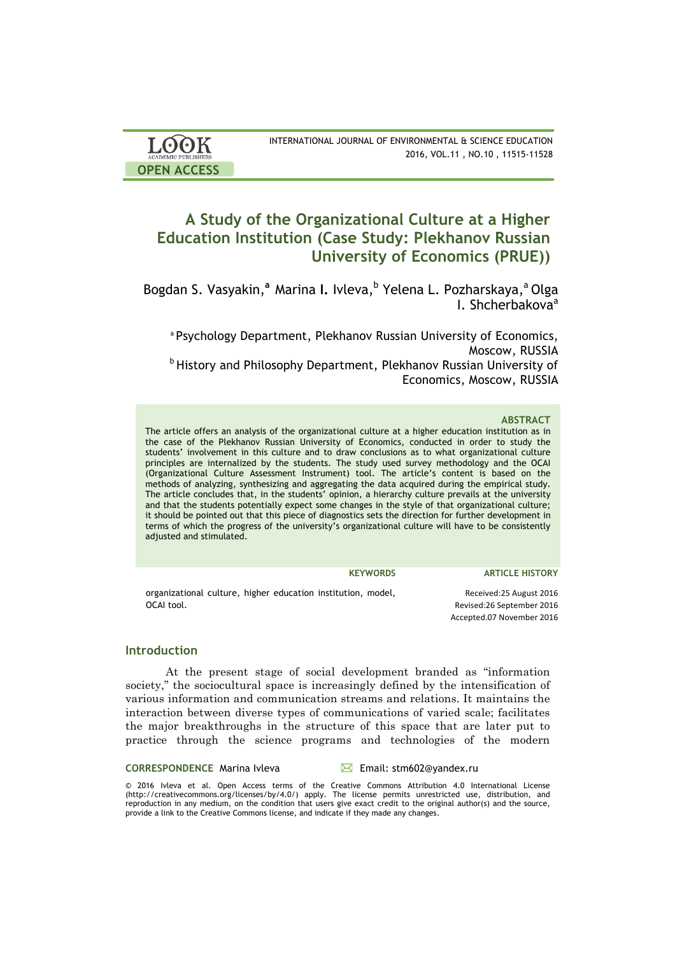| <b>LOOK</b>                | INTERNATIONAL JOURNAL OF ENVIRONMENTAL & SCIENCE EDUCATION |
|----------------------------|------------------------------------------------------------|
| <b>ACADEMIC PUBLISHERS</b> | 2016, VOL.11, NO.10, 11515-11528                           |
| <b>OPEN ACCESS</b>         |                                                            |

# **A Study of the Organizational Culture at a Higher Education Institution (Case Study: Plekhanov Russian University of Economics (PRUE))**

Bogdan S. Vasyakin,<sup>a</sup> Marina I. Ivleva, <sup>b</sup> Yelena L. Pozharskaya,<sup>a</sup> Olga I. Shcherbakova<sup>a</sup>

a Psychology Department, Plekhanov Russian University of Economics, Moscow, RUSSIA **b History and Philosophy Department, Plekhanov Russian University of** Economics, Moscow, RUSSIA

### **ABSTRACT**

The article offers an analysis of the organizational culture at a higher education institution as in the case of the Plekhanov Russian University of Economics, conducted in order to study the students' involvement in this culture and to draw conclusions as to what organizational culture principles are internalized by the students. The study used survey methodology and the OCAI (Organizational Culture Assessment Instrument) tool. The article's content is based on the methods of analyzing, synthesizing and aggregating the data acquired during the empirical study. The article concludes that, in the students' opinion, a hierarchy culture prevails at the university and that the students potentially expect some changes in the style of that organizational culture; it should be pointed out that this piece of diagnostics sets the direction for further development in terms of which the progress of the university's organizational culture will have to be consistently adjusted and stimulated.

**KEYWORDS ARTICLE HISTORY**

organizational culture, higher education institution, model, OCAI tool. Received: 25 August 2016 Revised:26 September 2016 Accepted.07 November 2016

### **Introduction**

At the present stage of social development branded as "information society," the sociocultural space is increasingly defined by the intensification of various information and communication streams and relations. It maintains the interaction between diverse types of communications of varied scale; facilitates the major breakthroughs in the structure of this space that are later put to practice through the science programs and technologies of the modern

### CORRESPONDENCE Marina Ivleva <br>
<del>△</del> Email: stm602@yandex.ru

© 2016 Ivleva et al. Open Access terms of the Creative Commons Attribution 4.0 International License (http://creativecommons.org/licenses/by/4.0/) apply. The license permits unrestricted use, distribution, and reproduction in any medium, on the condition that users give exact credit to the original author(s) and the source, provide a link to the Creative Commons license, and indicate if they made any changes.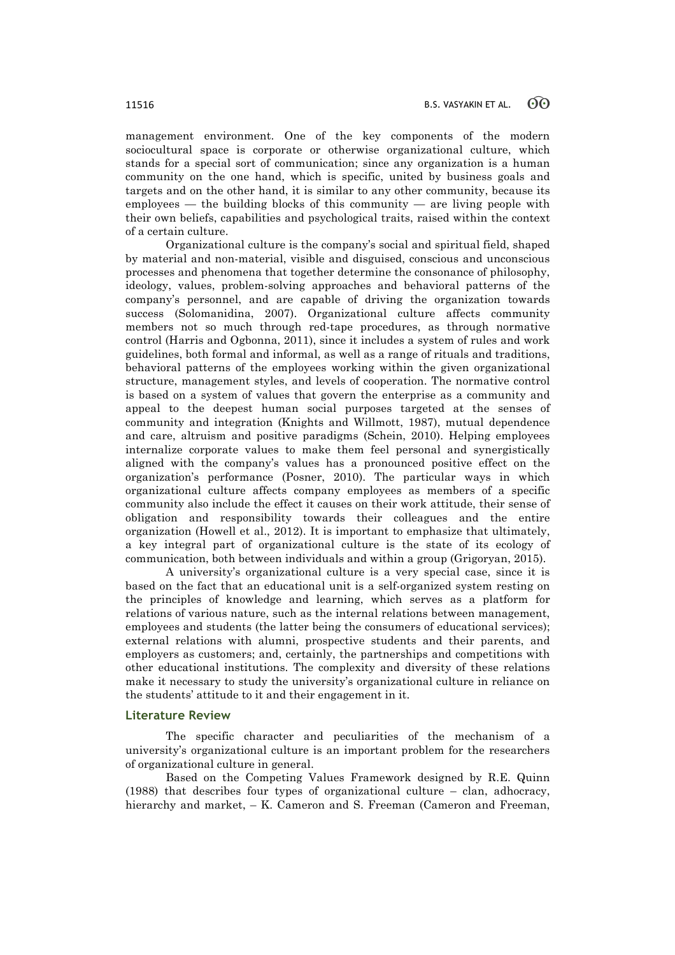management environment. One of the key components of the modern sociocultural space is corporate or otherwise organizational culture, which stands for a special sort of communication; since any organization is a human community on the one hand, which is specific, united by business goals and targets and on the other hand, it is similar to any other community, because its employees — the building blocks of this community — are living people with their own beliefs, capabilities and psychological traits, raised within the context of a certain culture.

Organizational culture is the company's social and spiritual field, shaped by material and non-material, visible and disguised, conscious and unconscious processes and phenomena that together determine the consonance of philosophy, ideology, values, problem-solving approaches and behavioral patterns of the company's personnel, and are capable of driving the organization towards success (Solomanidina, 2007). Organizational culture affects community members not so much through red-tape procedures, as through normative control (Harris and Ogbonna, 2011), since it includes a system of rules and work guidelines, both formal and informal, as well as a range of rituals and traditions, behavioral patterns of the employees working within the given organizational structure, management styles, and levels of cooperation. The normative control is based on a system of values that govern the enterprise as a community and appeal to the deepest human social purposes targeted at the senses of community and integration (Knights and Willmott, 1987), mutual dependence and care, altruism and positive paradigms (Schein, 2010). Helping employees internalize corporate values to make them feel personal and synergistically aligned with the company's values has a pronounced positive effect on the organization's performance (Posner, 2010). The particular ways in which organizational culture affects company employees as members of a specific community also include the effect it causes on their work attitude, their sense of obligation and responsibility towards their colleagues and the entire organization (Howell et al., 2012). It is important to emphasize that ultimately, a key integral part of organizational culture is the state of its ecology of communication, both between individuals and within a group (Grigoryan, 2015).

A university's organizational culture is a very special case, since it is based on the fact that an educational unit is a self-organized system resting on the principles of knowledge and learning, which serves as a platform for relations of various nature, such as the internal relations between management, employees and students (the latter being the consumers of educational services); external relations with alumni, prospective students and their parents, and employers as customers; and, certainly, the partnerships and competitions with other educational institutions. The complexity and diversity of these relations make it necessary to study the university's organizational culture in reliance on the students' attitude to it and their engagement in it.

### **Literature Review**

The specific character and peculiarities of the mechanism of a university's organizational culture is an important problem for the researchers of organizational culture in general.

Based on the Competing Values Framework designed by R.E. Quinn (1988) that describes four types of organizational culture – clan, adhocracy, hierarchy and market, – K. Cameron and S. Freeman (Cameron and Freeman,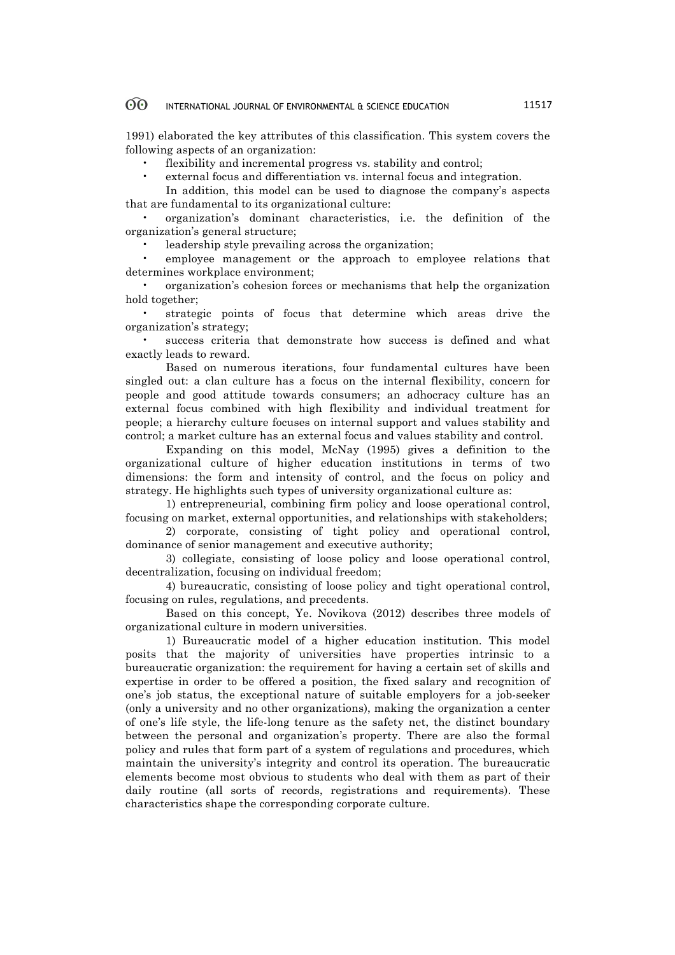1991) elaborated the key attributes of this classification. This system covers the following aspects of an organization:

flexibility and incremental progress vs. stability and control;

• external focus and differentiation vs. internal focus and integration.

In addition, this model can be used to diagnose the company's aspects that are fundamental to its organizational culture:

• organization's dominant characteristics, i.e. the definition of the organization's general structure;

• leadership style prevailing across the organization;

• employee management or the approach to employee relations that determines workplace environment;

• organization's cohesion forces or mechanisms that help the organization hold together;

• strategic points of focus that determine which areas drive the organization's strategy;

success criteria that demonstrate how success is defined and what exactly leads to reward.

Based on numerous iterations, four fundamental cultures have been singled out: a clan culture has a focus on the internal flexibility, concern for people and good attitude towards consumers; an adhocracy culture has an external focus combined with high flexibility and individual treatment for people; a hierarchy culture focuses on internal support and values stability and control; a market culture has an external focus and values stability and control.

Expanding on this model, McNay (1995) gives a definition to the organizational culture of higher education institutions in terms of two dimensions: the form and intensity of control, and the focus on policy and strategy. He highlights such types of university organizational culture as:

1) entrepreneurial, combining firm policy and loose operational control, focusing on market, external opportunities, and relationships with stakeholders;

2) corporate, consisting of tight policy and operational control, dominance of senior management and executive authority;

3) collegiate, consisting of loose policy and loose operational control, decentralization, focusing on individual freedom;

4) bureaucratic, consisting of loose policy and tight operational control, focusing on rules, regulations, and precedents.

Based on this concept, Ye. Novikova (2012) describes three models of organizational culture in modern universities.

1) Bureaucratic model of a higher education institution. This model posits that the majority of universities have properties intrinsic to a bureaucratic organization: the requirement for having a certain set of skills and expertise in order to be offered a position, the fixed salary and recognition of one's job status, the exceptional nature of suitable employers for a job-seeker (only a university and no other organizations), making the organization a center of one's life style, the life-long tenure as the safety net, the distinct boundary between the personal and organization's property. There are also the formal policy and rules that form part of a system of regulations and procedures, which maintain the university's integrity and control its operation. The bureaucratic elements become most obvious to students who deal with them as part of their daily routine (all sorts of records, registrations and requirements). These characteristics shape the corresponding corporate culture.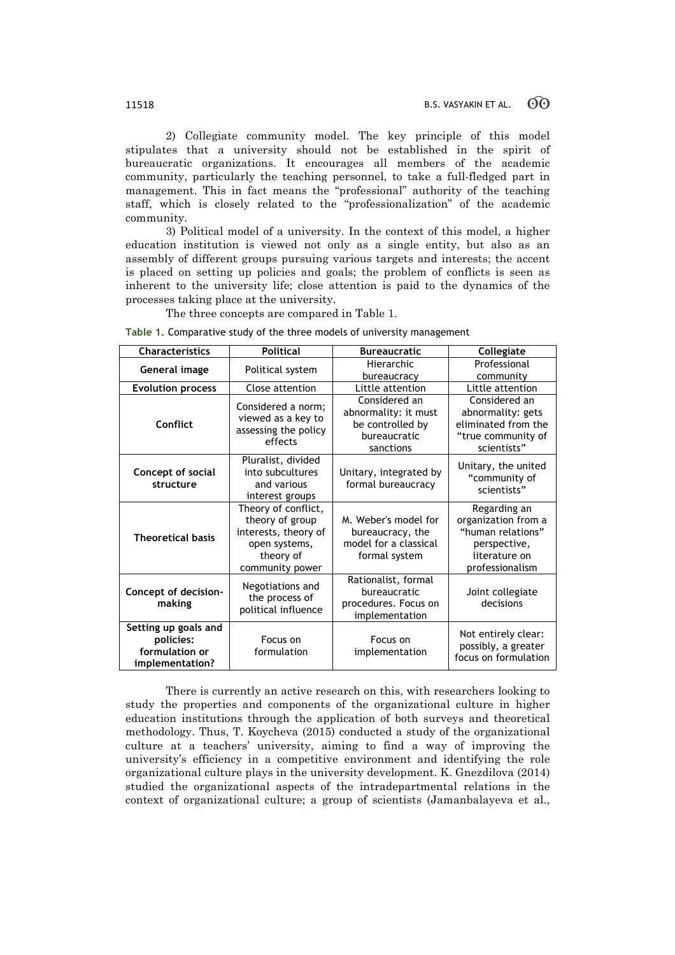2) Collegiate community model. The key principle of this model stipulates that a university should not be established in the spirit of bureaucratic organizations. It encourages all members of the academic community, particularly the teaching personnel, to take a full-fledged part in management. This in fact means the "professional" authority of the teaching staff, which is closely related to the "professionalization" of the academic community.

3) Political model of a university. In the context of this model, a higher education institution is viewed not only as a single entity, but also as an assembly of different groups pursuing various targets and interests; the accent is placed on setting up policies and goals; the problem of conflicts is seen as inherent to the university life; close attention is paid to the dynamics of the processes taking place at the university.

The three concepts are compared in Table 1.

**Table 1.** Comparative study of the three models of university management

| <b>Characteristics</b>                                                 | <b>Political</b>                                                                                                | <b>Bureaucratic</b>                                                                    | Collegiate                                                                                                   |
|------------------------------------------------------------------------|-----------------------------------------------------------------------------------------------------------------|----------------------------------------------------------------------------------------|--------------------------------------------------------------------------------------------------------------|
| General image                                                          | Political system                                                                                                | Hierarchic<br>bureaucracy                                                              | Professional<br>community                                                                                    |
| <b>Evolution process</b>                                               | Close attention                                                                                                 | Little attention                                                                       | Little attention                                                                                             |
| Conflict                                                               | Considered a norm;<br>viewed as a key to<br>assessing the policy<br>effects                                     | Considered an<br>abnormality: it must<br>be controlled by<br>bureaucratic<br>sanctions | Considered an<br>abnormality: gets<br>eliminated from the<br>"true community of<br>scientists"               |
| Concept of social<br>structure                                         | Pluralist, divided<br>into subcultures<br>and various<br>interest groups                                        | Unitary, integrated by<br>formal bureaucracy                                           | Unitary, the united<br>"community of<br>scientists"                                                          |
| <b>Theoretical basis</b>                                               | Theory of conflict,<br>theory of group<br>interests, theory of<br>open systems,<br>theory of<br>community power | M. Weber's model for<br>bureaucracy, the<br>model for a classical<br>formal system     | Regarding an<br>organization from a<br>"human relations"<br>perspective,<br>literature on<br>professionalism |
| Concept of decision-<br>making                                         | Negotiations and<br>the process of<br>political influence                                                       | Rationalist, formal<br>bureaucratic<br>procedures. Focus on<br>implementation          | Joint collegiate<br>decisions                                                                                |
| Setting up goals and<br>policies:<br>formulation or<br>implementation? | Focus on<br>formulation                                                                                         | Focus on<br>implementation                                                             | Not entirely clear:<br>possibly, a greater<br>focus on formulation                                           |

There is currently an active research on this, with researchers looking to study the properties and components of the organizational culture in higher education institutions through the application of both surveys and theoretical methodology. Thus, T. Koycheva (2015) conducted a study of the organizational culture at a teachers' university, aiming to find a way of improving the university's efficiency in a competitive environment and identifying the role organizational culture plays in the university development. K. Gnezdilova (2014) studied the organizational aspects of the intradepartmental relations in the context of organizational culture; a group of scientists (Jamanbalayeva et al.,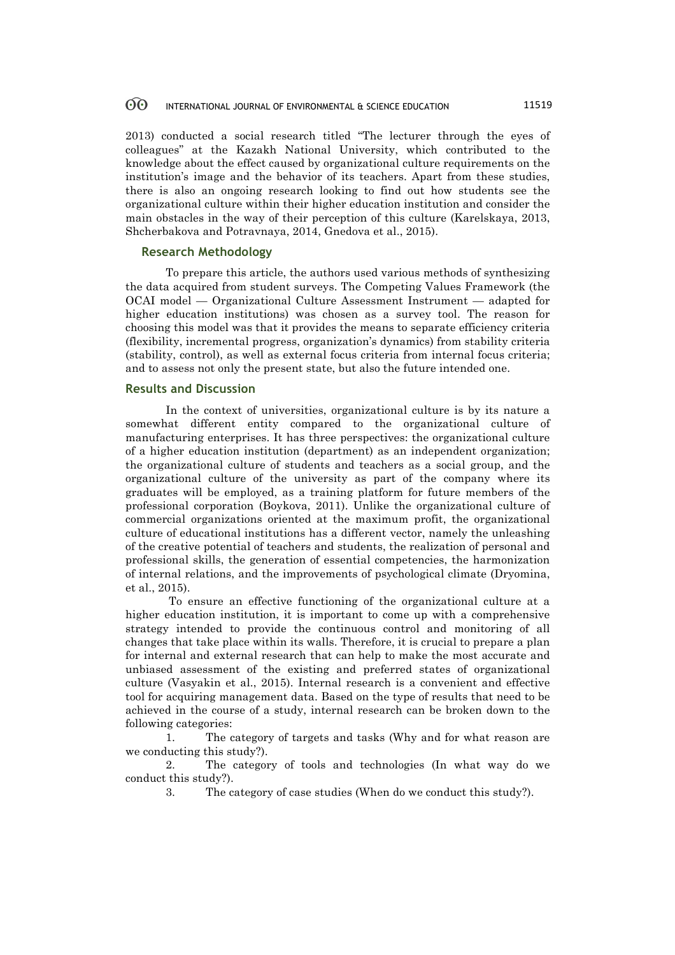2013) conducted a social research titled "The lecturer through the eyes of colleagues" at the Kazakh National University, which contributed to the knowledge about the effect caused by organizational culture requirements on the institution's image and the behavior of its teachers. Apart from these studies, there is also an ongoing research looking to find out how students see the organizational culture within their higher education institution and consider the main obstacles in the way of their perception of this culture (Karelskaya, 2013, Shcherbakova and Potravnaya, 2014, Gnedova et al., 2015).

## **Research Methodology**

To prepare this article, the authors used various methods of synthesizing the data acquired from student surveys. The Competing Values Framework (the OCAI model — Organizational Culture Assessment Instrument — adapted for higher education institutions) was chosen as a survey tool. The reason for choosing this model was that it provides the means to separate efficiency criteria (flexibility, incremental progress, organization's dynamics) from stability criteria (stability, control), as well as external focus criteria from internal focus criteria; and to assess not only the present state, but also the future intended one.

### **Results and Discussion**

In the context of universities, organizational culture is by its nature a somewhat different entity compared to the organizational culture of manufacturing enterprises. It has three perspectives: the organizational culture of a higher education institution (department) as an independent organization; the organizational culture of students and teachers as a social group, and the organizational culture of the university as part of the company where its graduates will be employed, as a training platform for future members of the professional corporation (Boykova, 2011). Unlike the organizational culture of commercial organizations oriented at the maximum profit, the organizational culture of educational institutions has a different vector, namely the unleashing of the creative potential of teachers and students, the realization of personal and professional skills, the generation of essential competencies, the harmonization of internal relations, and the improvements of psychological climate (Dryomina, et al., 2015).

To ensure an effective functioning of the organizational culture at a higher education institution, it is important to come up with a comprehensive strategy intended to provide the continuous control and monitoring of all changes that take place within its walls. Therefore, it is crucial to prepare a plan for internal and external research that can help to make the most accurate and unbiased assessment of the existing and preferred states of organizational culture (Vasyakin et al., 2015). Internal research is a convenient and effective tool for acquiring management data. Based on the type of results that need to be achieved in the course of a study, internal research can be broken down to the following categories:

1. The category of targets and tasks (Why and for what reason are we conducting this study?).

2. The category of tools and technologies (In what way do we conduct this study?).

3. The category of case studies (When do we conduct this study?).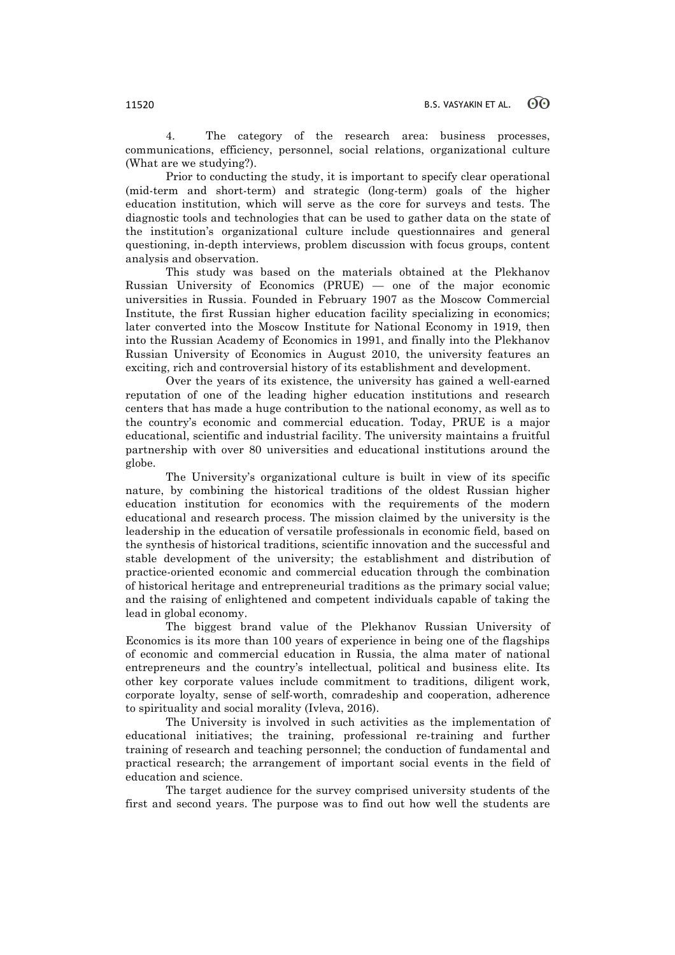4. The category of the research area: business processes, communications, efficiency, personnel, social relations, organizational culture (What are we studying?).

Prior to conducting the study, it is important to specify clear operational (mid-term and short-term) and strategic (long-term) goals of the higher education institution, which will serve as the core for surveys and tests. The diagnostic tools and technologies that can be used to gather data on the state of the institution's organizational culture include questionnaires and general questioning, in-depth interviews, problem discussion with focus groups, content analysis and observation.

This study was based on the materials obtained at the Plekhanov Russian University of Economics (PRUE) — one of the major economic universities in Russia. Founded in February 1907 as the Moscow Commercial Institute, the first Russian higher education facility specializing in economics; later converted into the Moscow Institute for National Economy in 1919, then into the Russian Academy of Economics in 1991, and finally into the Plekhanov Russian University of Economics in August 2010, the university features an exciting, rich and controversial history of its establishment and development.

Over the years of its existence, the university has gained a well-earned reputation of one of the leading higher education institutions and research centers that has made a huge contribution to the national economy, as well as to the country's economic and commercial education. Today, PRUE is a major educational, scientific and industrial facility. The university maintains a fruitful partnership with over 80 universities and educational institutions around the globe.

The University's organizational culture is built in view of its specific nature, by combining the historical traditions of the oldest Russian higher education institution for economics with the requirements of the modern educational and research process. The mission claimed by the university is the leadership in the education of versatile professionals in economic field, based on the synthesis of historical traditions, scientific innovation and the successful and stable development of the university; the establishment and distribution of practice-oriented economic and commercial education through the combination of historical heritage and entrepreneurial traditions as the primary social value; and the raising of enlightened and competent individuals capable of taking the lead in global economy.

The biggest brand value of the Plekhanov Russian University of Economics is its more than 100 years of experience in being one of the flagships of economic and commercial education in Russia, the alma mater of national entrepreneurs and the country's intellectual, political and business elite. Its other key corporate values include commitment to traditions, diligent work, corporate loyalty, sense of self-worth, comradeship and cooperation, adherence to spirituality and social morality (Ivleva, 2016).

The University is involved in such activities as the implementation of educational initiatives; the training, professional re-training and further training of research and teaching personnel; the conduction of fundamental and practical research; the arrangement of important social events in the field of education and science.

The target audience for the survey comprised university students of the first and second years. The purpose was to find out how well the students are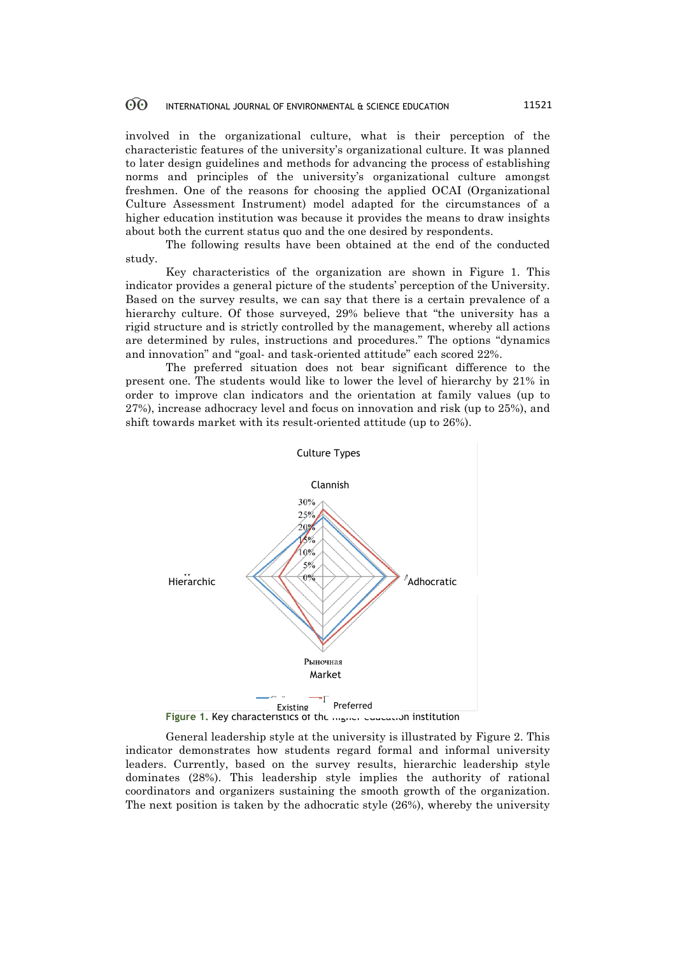involved in the organizational culture, what is their perception of the characteristic features of the university's organizational culture. It was planned to later design guidelines and methods for advancing the process of establishing norms and principles of the university's organizational culture amongst freshmen. One of the reasons for choosing the applied OCAI (Organizational Culture Assessment Instrument) model adapted for the circumstances of a higher education institution was because it provides the means to draw insights about both the current status quo and the one desired by respondents.

The following results have been obtained at the end of the conducted study.

Key characteristics of the organization are shown in Figure 1. This indicator provides a general picture of the students' perception of the University. Based on the survey results, we can say that there is a certain prevalence of a hierarchy culture. Of those surveyed, 29% believe that "the university has a rigid structure and is strictly controlled by the management, whereby all actions are determined by rules, instructions and procedures." The options "dynamics and innovation" and "goal- and task-oriented attitude" each scored 22%.

The preferred situation does not bear significant difference to the present one. The students would like to lower the level of hierarchy by 21% in order to improve clan indicators and the orientation at family values (up to 27%), increase adhocracy level and focus on innovation and risk (up to 25%), and shift towards market with its result-oriented attitude (up to 26%).



General leadership style at the university is illustrated by Figure 2. This indicator demonstrates how students regard formal and informal university leaders. Currently, based on the survey results, hierarchic leadership style dominates (28%). This leadership style implies the authority of rational coordinators and organizers sustaining the smooth growth of the organization. The next position is taken by the adhocratic style (26%), whereby the university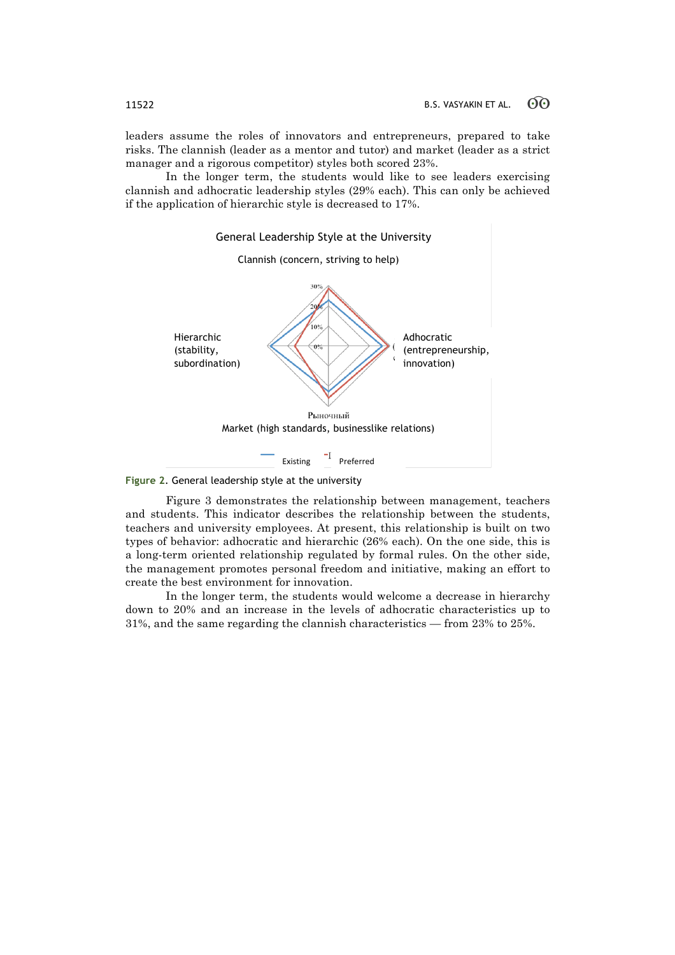leaders assume the roles of innovators and entrepreneurs, prepared to take risks. The clannish (leader as a mentor and tutor) and market (leader as a strict manager and a rigorous competitor) styles both scored 23%.

In the longer term, the students would like to see leaders exercising clannish and adhocratic leadership styles (29% each). This can only be achieved if the application of hierarchic style is decreased to 17%.



**Figure 2**. General leadership style at the university

Figure 3 demonstrates the relationship between management, teachers and students. This indicator describes the relationship between the students, teachers and university employees. At present, this relationship is built on two types of behavior: adhocratic and hierarchic (26% each). On the one side, this is a long-term oriented relationship regulated by formal rules. On the other side, the management promotes personal freedom and initiative, making an effort to create the best environment for innovation.

In the longer term, the students would welcome a decrease in hierarchy down to 20% and an increase in the levels of adhocratic characteristics up to 31%, and the same regarding the clannish characteristics — from 23% to 25%.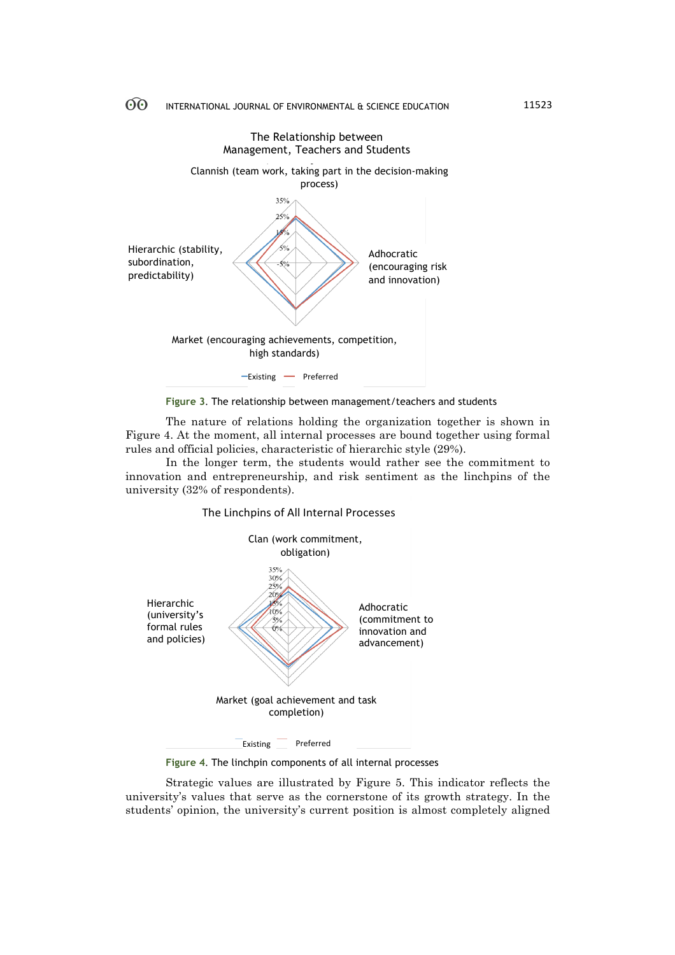

**Figure 3**. The relationship between management/teachers and students

The nature of relations holding the organization together is shown in Figure 4. At the moment, all internal processes are bound together using formal rules and official policies, characteristic of hierarchic style (29%).

In the longer term, the students would rather see the commitment to innovation and entrepreneurship, and risk sentiment as the linchpins of the university (32% of respondents).





**Figure 4**. The linchpin components of all internal processes

Strategic values are illustrated by Figure 5. This indicator reflects the university's values that serve as the cornerstone of its growth strategy. In the students' opinion, the university's current position is almost completely aligned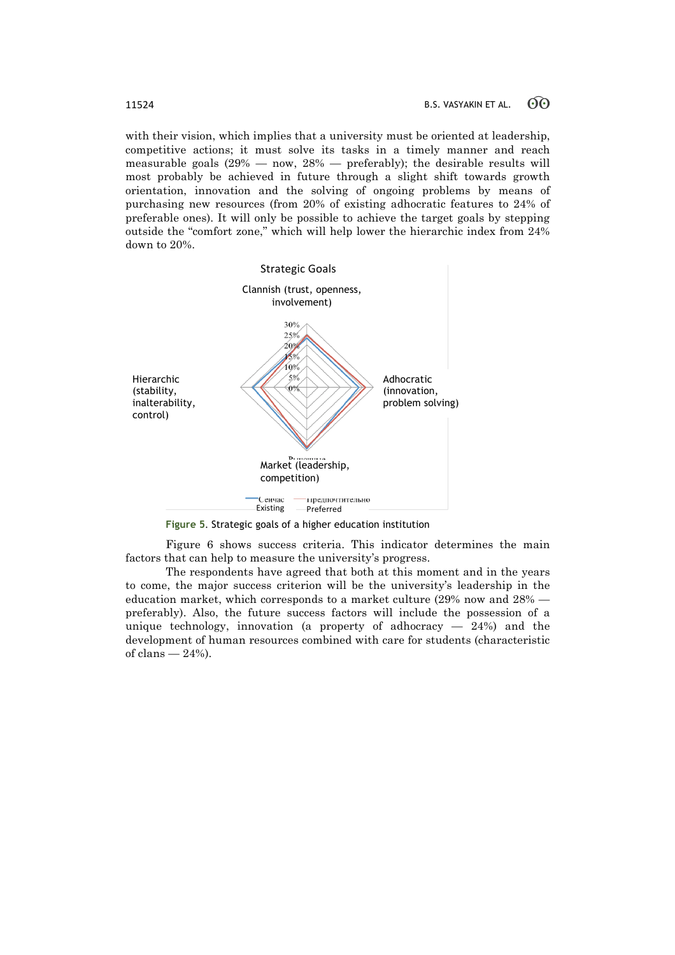with their vision, which implies that a university must be oriented at leadership, competitive actions; it must solve its tasks in a timely manner and reach measurable goals  $(29\% - \text{now}, 28\% - \text{preferably})$ ; the desirable results will most probably be achieved in future through a slight shift towards growth orientation, innovation and the solving of ongoing problems by means of purchasing new resources (from 20% of existing adhocratic features to 24% of preferable ones). It will only be possible to achieve the target goals by stepping outside the "comfort zone," which will help lower the hierarchic index from 24% down to 20%.



**Figure 5**. Strategic goals of a higher education institution

Figure 6 shows success criteria. This indicator determines the main factors that can help to measure the university's progress.

The respondents have agreed that both at this moment and in the years to come, the major success criterion will be the university's leadership in the education market, which corresponds to a market culture (29% now and 28% preferably). Also, the future success factors will include the possession of a unique technology, innovation (a property of adhocracy  $-24%$ ) and the development of human resources combined with care for students (characteristic of clans  $-24%$ ).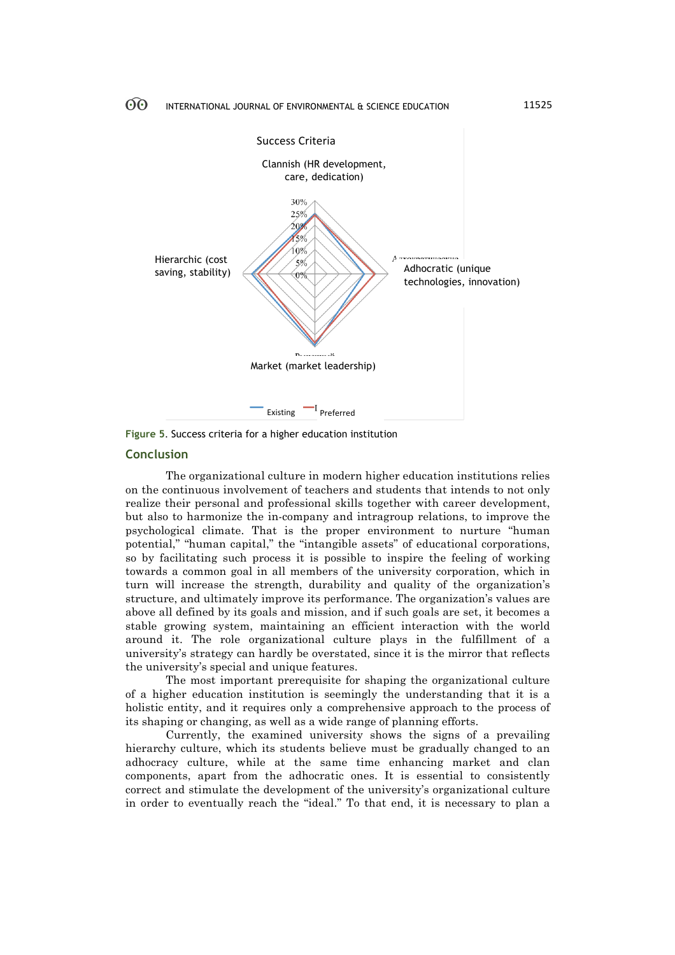

**Figure 5**. Success criteria for a higher education institution

### **Conclusion**

The organizational culture in modern higher education institutions relies on the continuous involvement of teachers and students that intends to not only realize their personal and professional skills together with career development, but also to harmonize the in-company and intragroup relations, to improve the psychological climate. That is the proper environment to nurture "human potential," "human capital," the "intangible assets" of educational corporations, so by facilitating such process it is possible to inspire the feeling of working towards a common goal in all members of the university corporation, which in turn will increase the strength, durability and quality of the organization's structure, and ultimately improve its performance. The organization's values are above all defined by its goals and mission, and if such goals are set, it becomes a stable growing system, maintaining an efficient interaction with the world around it. The role organizational culture plays in the fulfillment of a university's strategy can hardly be overstated, since it is the mirror that reflects the university's special and unique features.

The most important prerequisite for shaping the organizational culture of a higher education institution is seemingly the understanding that it is a holistic entity, and it requires only a comprehensive approach to the process of its shaping or changing, as well as a wide range of planning efforts.

Currently, the examined university shows the signs of a prevailing hierarchy culture, which its students believe must be gradually changed to an adhocracy culture, while at the same time enhancing market and clan components, apart from the adhocratic ones. It is essential to consistently correct and stimulate the development of the university's organizational culture in order to eventually reach the "ideal." To that end, it is necessary to plan a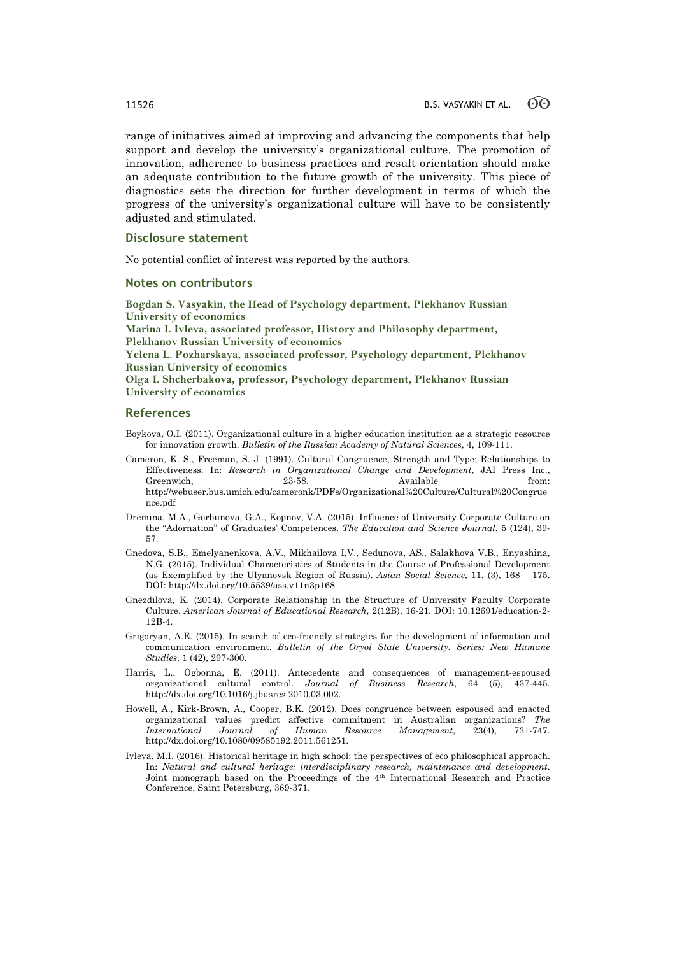range of initiatives aimed at improving and advancing the components that help support and develop the university's organizational culture. The promotion of innovation, adherence to business practices and result orientation should make an adequate contribution to the future growth of the university. This piece of diagnostics sets the direction for further development in terms of which the progress of the university's organizational culture will have to be consistently adjusted and stimulated.

### **Disclosure statement**

No potential conflict of interest was reported by the authors.

### **Notes on contributors**

**Bogdan S. Vasyakin, the Head of Psychology department, Plekhanov Russian University of economics**

**Marina I. Ivleva, associated professor, History and Philosophy department, Plekhanov Russian University of economics**

**Yelena L. Pozharskaya, associated professor, Psychology department, Plekhanov Russian University of economics**

**Olga I. Shcherbakova, professor, Psychology department, Plekhanov Russian University of economics**

### **References**

- Boykova, O.I. (2011). Organizational culture in a higher education institution as a strategic resource for innovation growth. *Bulletin of the Russian Academy of Natural Sciences*, 4, 109-111.
- Cameron, K. S., Freeman, S. J. (1991). Cultural Congruence, Strength and Type: Relationships to Effectiveness. In: *Research in Organizational Change and Development*, JAI Press Inc., Greenwich, 23-58. Available from: http://webuser.bus.umich.edu/cameronk/PDFs/Organizational%20Culture/Cultural%20Congrue nce.pdf
- Dremina, M.A., Gorbunova, G.A., Kopnov, V.A. (2015). Influence of University Corporate Culture on the "Adornation" of Graduates' Competences. *The Education and Science Journal*, 5 (124), 39- 57.
- Gnedova, S.B., Emelyanenkova, A.V., Mikhailova I,V., Sedunova, AS., Salakhova V.B., Enyashina, N.G. (2015). Individual Characteristics of Students in the Course of Professional Development (as Exemplified by the Ulyanovsk Region of Russia). *Asian Social Science*, 11, (3), 168 – 175. DOI: http://dx.doi.org/10.5539/ass.v11n3p168.
- Gnezdilova, K. (2014). Corporate Relationship in the Structure of University Faculty Corporate Culture. *American Journal of Educational Research*, 2(12B), 16-21. DOI: 10.12691/education-2- 12B-4.
- Grigoryan, A.E. (2015). In search of eco-friendly strategies for the development of information and communication environment. *Bulletin of the Oryol State University. Series: New Humane Studies*, 1 (42), 297-300.
- Harris, L., Ogbonna, E. (2011). Antecedents and consequences of management-espoused organizational cultural control. *Journal of Business Research*, 64 (5), 437-445. http://dx.doi.org/10.1016/j.jbusres.2010.03.002.
- Howell, A., Kirk-Brown, A., Cooper, B.K. (2012). Does congruence between espoused and enacted organizational values predict affective commitment in Australian organizations? *The International Journal of Human Resource Management*, 23(4), 731-747. http://dx.doi.org/10.1080/09585192.2011.561251.
- Ivleva, M.I. (2016). Historical heritage in high school: the perspectives of eco philosophical approach. In: *Natural and cultural heritage: interdisciplinary research, maintenance and development*. Joint monograph based on the Proceedings of the 4th International Research and Practice Conference, Saint Petersburg, 369-371.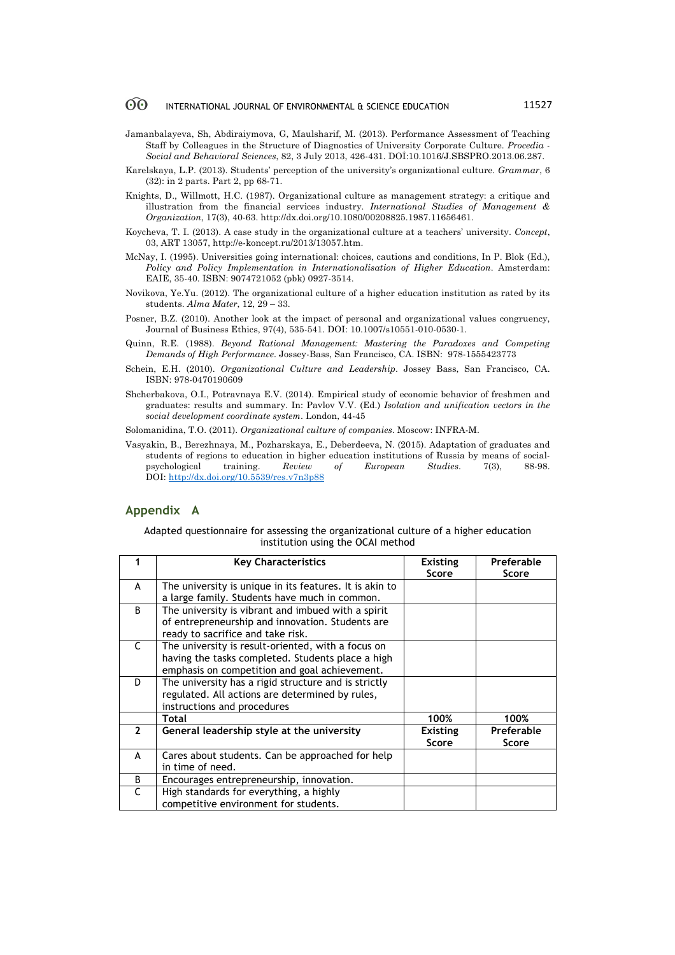- Jamanbalayeva, Sh, Abdiraiymova, G, Maulsharif, M. (2013). Performance Assessment of Teaching Staff by Colleagues in the Structure of Diagnostics of University Corporate Culture. *Procedia - Social and Behavioral Sciences*, 82, 3 July 2013, 426-431. DOİ:10.1016/J.SBSPRO.2013.06.287.
- Karelskaya, L.P. (2013). Students' perception of the university's organizational culture. *Grammar*, 6 (32): in 2 parts. Part 2, pp 68-71.
- Knights, D., Willmott, H.C. (1987). Organizational culture as management strategy: a critique and illustration from the financial services industry. *International Studies of Management & Organization*, 17(3), 40-63. http://dx.doi.org/10.1080/00208825.1987.11656461.
- Koycheva, T. I. (2013). A case study in the organizational culture at a teachers' university. *Concept*, 03, ART 13057, http://e-koncept.ru/2013/13057.htm.
- McNay, I. (1995). Universities going international: choices, cautions and conditions, In P. Blok (Ed.), *Policy and Policy Implementation in Internationalisation of Higher Education*. Amsterdam: EAIE, 35-40. ISBN: 9074721052 (pbk) 0927-3514.
- Novikova, Ye.Yu. (2012). The organizational culture of a higher education institution as rated by its students. *Alma Mater*, 12, 29 – 33.
- Posner, B.Z. (2010). Another look at the impact of personal and organizational values congruency, Journal of Business Ethics, 97(4), 535-541. DOI: 10.1007/s10551-010-0530-1.
- Quinn, R.E. (1988). *Beyond Rational Management: Mastering the Paradoxes and Competing Demands of High Performance*. Jossey-Bass, San Francisco, CA. ISBN: 978-1555423773
- Schein, E.H. (2010). *Organizational Culture and Leadership*. Jossey Bass, San Francisco, CA. ISBN: 978-0470190609
- Shcherbakova, O.I., Potravnaya E.V. (2014). Empirical study of economic behavior of freshmen and graduates: results and summary. In: Pavlov V.V. (Ed.) *Isolation and unification vectors in the social development coordinate system*. London, 44-45
- Solomanidina, T.O. (2011). *Organizational culture of companies*. Moscow: INFRA-M.
- Vasyakin, B., Berezhnaya, M., Pozharskaya, E., Deberdeeva, N. (2015). Adaptation of graduates and students of regions to education in higher education institutions of Russia by means of socialpsychological training. *Review of European Studies*. 7(3), 88-98. DOI: http://dx.doi.org/10.5539/res.v7n3p88

### **Appendix A**

### Adapted questionnaire for assessing the organizational culture of a higher education institution using the OCAI method

|    | <b>Key Characteristics</b>                                                                                                                               | <b>Existing</b><br>Score | Preferable<br>Score |
|----|----------------------------------------------------------------------------------------------------------------------------------------------------------|--------------------------|---------------------|
| A  | The university is unique in its features. It is akin to<br>a large family. Students have much in common.                                                 |                          |                     |
| B. | The university is vibrant and imbued with a spirit<br>of entrepreneurship and innovation. Students are<br>ready to sacrifice and take risk.              |                          |                     |
| C  | The university is result-oriented, with a focus on<br>having the tasks completed. Students place a high<br>emphasis on competition and goal achievement. |                          |                     |
| D  | The university has a rigid structure and is strictly<br>regulated. All actions are determined by rules,<br>instructions and procedures                   |                          |                     |
|    | Total                                                                                                                                                    | 100%                     | 100%                |
| 2  | General leadership style at the university                                                                                                               | <b>Existing</b><br>Score | Preferable<br>Score |
| A  | Cares about students. Can be approached for help<br>in time of need.                                                                                     |                          |                     |
| B  | Encourages entrepreneurship, innovation.                                                                                                                 |                          |                     |
| C  | High standards for everything, a highly<br>competitive environment for students.                                                                         |                          |                     |